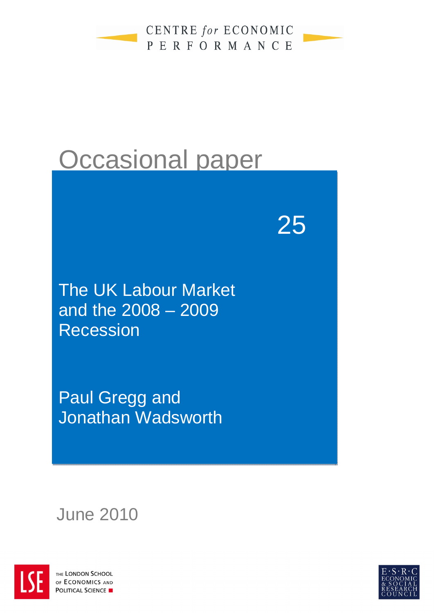

# Occasional paper

25

The UK Labour Market and the 2008 – 2009 Recession

Paul Gregg and Jonathan Wadsworth

# June 2010



THE LONDON SCHOOL OF ECONOMICS AND OLITICAL SCIENCE

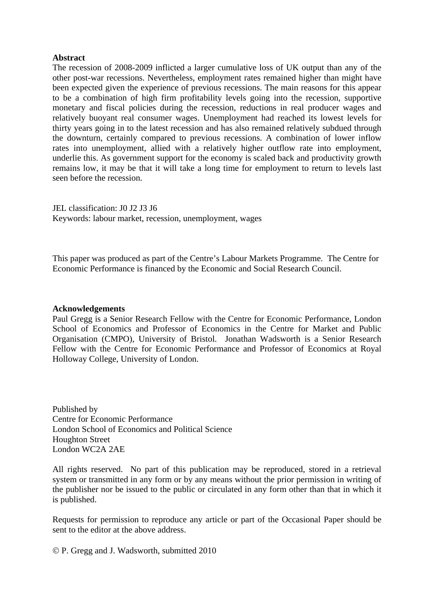#### **Abstract**

The recession of 2008-2009 inflicted a larger cumulative loss of UK output than any of the other post-war recessions. Nevertheless, employment rates remained higher than might have been expected given the experience of previous recessions. The main reasons for this appear to be a combination of high firm profitability levels going into the recession, supportive monetary and fiscal policies during the recession, reductions in real producer wages and relatively buoyant real consumer wages. Unemployment had reached its lowest levels for thirty years going in to the latest recession and has also remained relatively subdued through the downturn, certainly compared to previous recessions. A combination of lower inflow rates into unemployment, allied with a relatively higher outflow rate into employment, underlie this. As government support for the economy is scaled back and productivity growth remains low, it may be that it will take a long time for employment to return to levels last seen before the recession.

JEL classification: J0 J2 J3 J6 Keywords: labour market, recession, unemployment, wages

This paper was produced as part of the Centre's Labour Markets Programme. The Centre for Economic Performance is financed by the Economic and Social Research Council.

#### **Acknowledgements**

Paul Gregg is a Senior Research Fellow with the Centre for Economic Performance, London School of Economics and Professor of Economics in the Centre for Market and Public Organisation (CMPO), University of Bristol. Jonathan Wadsworth is a Senior Research Fellow with the Centre for Economic Performance and Professor of Economics at Royal Holloway College, University of London.

Published by Centre for Economic Performance London School of Economics and Political Science Houghton Street London WC2A 2AE

All rights reserved. No part of this publication may be reproduced, stored in a retrieval system or transmitted in any form or by any means without the prior permission in writing of the publisher nor be issued to the public or circulated in any form other than that in which it is published.

Requests for permission to reproduce any article or part of the Occasional Paper should be sent to the editor at the above address.

© P. Gregg and J. Wadsworth, submitted 2010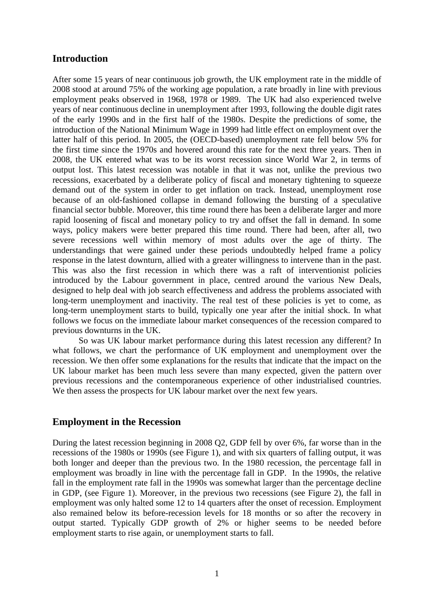# **Introduction**

After some 15 years of near continuous job growth, the UK employment rate in the middle of 2008 stood at around 75% of the working age population, a rate broadly in line with previous employment peaks observed in 1968, 1978 or 1989. The UK had also experienced twelve years of near continuous decline in unemployment after 1993, following the double digit rates of the early 1990s and in the first half of the 1980s. Despite the predictions of some, the introduction of the National Minimum Wage in 1999 had little effect on employment over the latter half of this period. In 2005, the (OECD-based) unemployment rate fell below 5% for the first time since the 1970s and hovered around this rate for the next three years. Then in 2008, the UK entered what was to be its worst recession since World War 2, in terms of output lost. This latest recession was notable in that it was not, unlike the previous two recessions, exacerbated by a deliberate policy of fiscal and monetary tightening to squeeze demand out of the system in order to get inflation on track. Instead, unemployment rose because of an old-fashioned collapse in demand following the bursting of a speculative financial sector bubble. Moreover, this time round there has been a deliberate larger and more rapid loosening of fiscal and monetary policy to try and offset the fall in demand. In some ways, policy makers were better prepared this time round. There had been, after all, two severe recessions well within memory of most adults over the age of thirty. The understandings that were gained under these periods undoubtedly helped frame a policy response in the latest downturn, allied with a greater willingness to intervene than in the past. This was also the first recession in which there was a raft of interventionist policies introduced by the Labour government in place, centred around the various New Deals, designed to help deal with job search effectiveness and address the problems associated with long-term unemployment and inactivity. The real test of these policies is yet to come, as long-term unemployment starts to build, typically one year after the initial shock. In what follows we focus on the immediate labour market consequences of the recession compared to previous downturns in the UK.

So was UK labour market performance during this latest recession any different? In what follows, we chart the performance of UK employment and unemployment over the recession. We then offer some explanations for the results that indicate that the impact on the UK labour market has been much less severe than many expected, given the pattern over previous recessions and the contemporaneous experience of other industrialised countries. We then assess the prospects for UK labour market over the next few years.

## **Employment in the Recession**

During the latest recession beginning in 2008 Q2, GDP fell by over 6%, far worse than in the recessions of the 1980s or 1990s (see Figure 1), and with six quarters of falling output, it was both longer and deeper than the previous two. In the 1980 recession, the percentage fall in employment was broadly in line with the percentage fall in GDP. In the 1990s, the relative fall in the employment rate fall in the 1990s was somewhat larger than the percentage decline in GDP, (see Figure 1). Moreover, in the previous two recessions (see Figure 2), the fall in employment was only halted some 12 to 14 quarters after the onset of recession. Employment also remained below its before-recession levels for 18 months or so after the recovery in output started. Typically GDP growth of 2% or higher seems to be needed before employment starts to rise again, or unemployment starts to fall.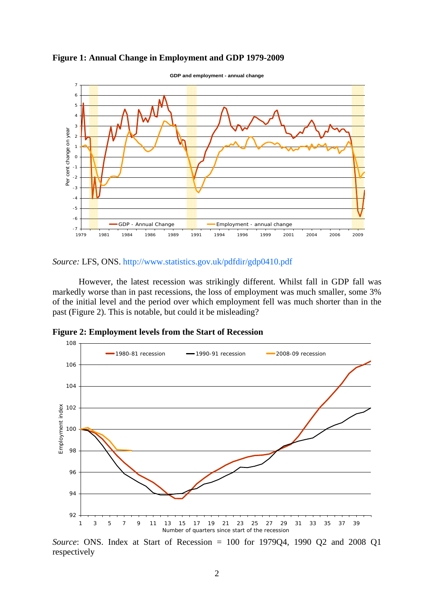

#### **Figure 1: Annual Change in Employment and GDP 1979-2009**

*Source:* LFS, ONS. http://www.statistics.gov.uk/pdfdir/gdp0410.pdf

However, the latest recession was strikingly different. Whilst fall in GDP fall was markedly worse than in past recessions, the loss of employment was much smaller, some 3% of the initial level and the period over which employment fell was much shorter than in the past (Figure 2). This is notable, but could it be misleading?

**Figure 2: Employment levels from the Start of Recession** 



*Source*: ONS. Index at Start of Recession = 100 for 1979Q4, 1990 Q2 and 2008 Q1 respectively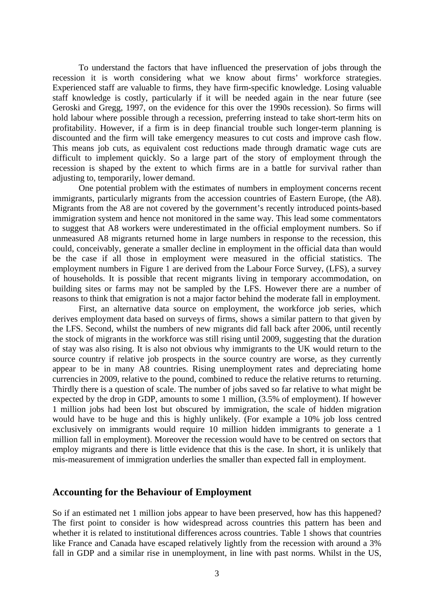To understand the factors that have influenced the preservation of jobs through the recession it is worth considering what we know about firms' workforce strategies. Experienced staff are valuable to firms, they have firm-specific knowledge. Losing valuable staff knowledge is costly, particularly if it will be needed again in the near future (see Geroski and Gregg, 1997, on the evidence for this over the 1990s recession). So firms will hold labour where possible through a recession, preferring instead to take short-term hits on profitability. However, if a firm is in deep financial trouble such longer-term planning is discounted and the firm will take emergency measures to cut costs and improve cash flow. This means job cuts, as equivalent cost reductions made through dramatic wage cuts are difficult to implement quickly. So a large part of the story of employment through the recession is shaped by the extent to which firms are in a battle for survival rather than adjusting to, temporarily, lower demand.

One potential problem with the estimates of numbers in employment concerns recent immigrants, particularly migrants from the accession countries of Eastern Europe, (the A8). Migrants from the A8 are not covered by the government's recently introduced points-based immigration system and hence not monitored in the same way. This lead some commentators to suggest that A8 workers were underestimated in the official employment numbers. So if unmeasured A8 migrants returned home in large numbers in response to the recession, this could, conceivably, generate a smaller decline in employment in the official data than would be the case if all those in employment were measured in the official statistics. The employment numbers in Figure 1 are derived from the Labour Force Survey, (LFS), a survey of households. It is possible that recent migrants living in temporary accommodation, on building sites or farms may not be sampled by the LFS. However there are a number of reasons to think that emigration is not a major factor behind the moderate fall in employment.

First, an alternative data source on employment, the workforce job series, which derives employment data based on surveys of firms, shows a similar pattern to that given by the LFS. Second, whilst the numbers of new migrants did fall back after 2006, until recently the stock of migrants in the workforce was still rising until 2009, suggesting that the duration of stay was also rising. It is also not obvious why immigrants to the UK would return to the source country if relative job prospects in the source country are worse, as they currently appear to be in many A8 countries. Rising unemployment rates and depreciating home currencies in 2009, relative to the pound, combined to reduce the relative returns to returning. Thirdly there is a question of scale. The number of jobs saved so far relative to what might be expected by the drop in GDP, amounts to some 1 million, (3.5% of employment). If however 1 million jobs had been lost but obscured by immigration, the scale of hidden migration would have to be huge and this is highly unlikely. (For example a 10% job loss centred exclusively on immigrants would require 10 million hidden immigrants to generate a 1 million fall in employment). Moreover the recession would have to be centred on sectors that employ migrants and there is little evidence that this is the case. In short, it is unlikely that mis-measurement of immigration underlies the smaller than expected fall in employment.

#### **Accounting for the Behaviour of Employment**

So if an estimated net 1 million jobs appear to have been preserved, how has this happened? The first point to consider is how widespread across countries this pattern has been and whether it is related to institutional differences across countries. Table 1 shows that countries like France and Canada have escaped relatively lightly from the recession with around a 3% fall in GDP and a similar rise in unemployment, in line with past norms. Whilst in the US,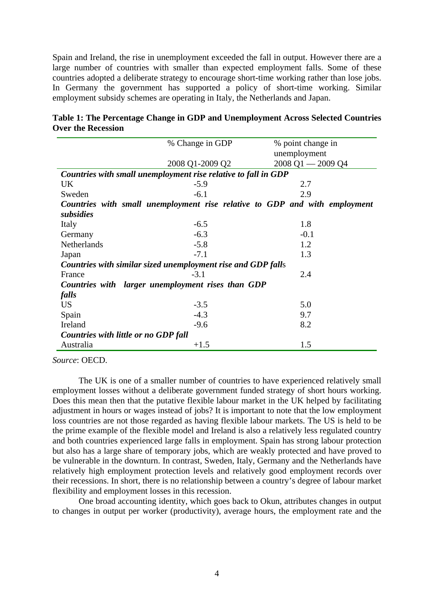Spain and Ireland, the rise in unemployment exceeded the fall in output. However there are a large number of countries with smaller than expected employment falls. Some of these countries adopted a deliberate strategy to encourage short-time working rather than lose jobs. In Germany the government has supported a policy of short-time working. Similar employment subsidy schemes are operating in Italy, the Netherlands and Japan.

|                                                                            | % Change in GDP | % point change in   |  |  |  |
|----------------------------------------------------------------------------|-----------------|---------------------|--|--|--|
|                                                                            |                 | unemployment        |  |  |  |
|                                                                            | 2008 Q1-2009 Q2 | $2008$ Q1 - 2009 Q4 |  |  |  |
| Countries with small unemployment rise relative to fall in GDP             |                 |                     |  |  |  |
| UK.                                                                        | $-5.9$          | 2.7                 |  |  |  |
| Sweden                                                                     | $-6.1$          | 2.9                 |  |  |  |
| Countries with small unemployment rise relative to GDP and with employment |                 |                     |  |  |  |
| subsidies                                                                  |                 |                     |  |  |  |
| Italy                                                                      | $-6.5$          | 1.8                 |  |  |  |
| Germany                                                                    | $-6.3$          | $-0.1$              |  |  |  |
| <b>Netherlands</b>                                                         | $-5.8$          | 1.2                 |  |  |  |
| Japan                                                                      | $-7.1$          | 1.3                 |  |  |  |
| Countries with similar sized unemployment rise and GDP falls               |                 |                     |  |  |  |
| France                                                                     | $-3.1$          | 2.4                 |  |  |  |
| Countries with larger unemployment rises than GDP                          |                 |                     |  |  |  |
| falls                                                                      |                 |                     |  |  |  |
| <b>US</b>                                                                  | $-3.5$          | 5.0                 |  |  |  |
| Spain                                                                      | $-4.3$          | 9.7                 |  |  |  |
| Ireland                                                                    | $-9.6$          | 8.2                 |  |  |  |
| Countries with little or no GDP fall                                       |                 |                     |  |  |  |
| Australia                                                                  | $+1.5$          | 1.5                 |  |  |  |

**Table 1: The Percentage Change in GDP and Unemployment Across Selected Countries Over the Recession**

*Source*: OECD.

The UK is one of a smaller number of countries to have experienced relatively small employment losses without a deliberate government funded strategy of short hours working. Does this mean then that the putative flexible labour market in the UK helped by facilitating adjustment in hours or wages instead of jobs? It is important to note that the low employment loss countries are not those regarded as having flexible labour markets. The US is held to be the prime example of the flexible model and Ireland is also a relatively less regulated country and both countries experienced large falls in employment. Spain has strong labour protection but also has a large share of temporary jobs, which are weakly protected and have proved to be vulnerable in the downturn. In contrast, Sweden, Italy, Germany and the Netherlands have relatively high employment protection levels and relatively good employment records over their recessions. In short, there is no relationship between a country's degree of labour market flexibility and employment losses in this recession.

One broad accounting identity, which goes back to Okun, attributes changes in output to changes in output per worker (productivity), average hours, the employment rate and the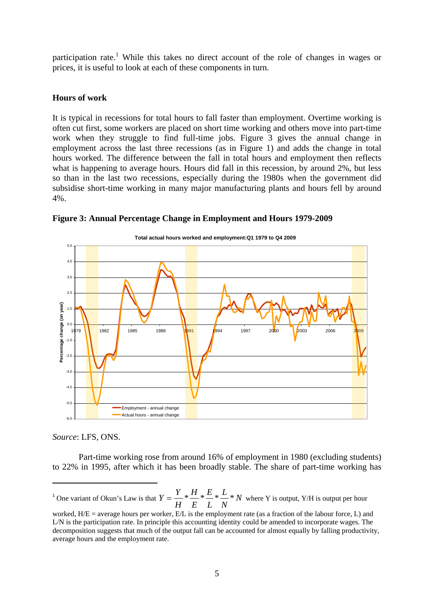participation rate.<sup>1</sup> While this takes no direct account of the role of changes in wages or prices, it is useful to look at each of these components in turn.

#### **Hours of work**

It is typical in recessions for total hours to fall faster than employment. Overtime working is often cut first, some workers are placed on short time working and others move into part-time work when they struggle to find full-time jobs. Figure 3 gives the annual change in employment across the last three recessions (as in Figure 1) and adds the change in total hours worked. The difference between the fall in total hours and employment then reflects what is happening to average hours. Hours did fall in this recession, by around 2%, but less so than in the last two recessions, especially during the 1980s when the government did subsidise short-time working in many major manufacturing plants and hours fell by around 4%.





*Source*: LFS, ONS.

Part-time working rose from around 16% of employment in 1980 (excluding students) to 22% in 1995, after which it has been broadly stable. The share of part-time working has

<sup>&</sup>lt;sup>1</sup> One variant of Okun's Law is that  $Y = \frac{1}{x} * \frac{1}{x} * \frac{1}{x} * \frac{1}{x} * N$ *N L L E E H H*  $Y = \frac{Y}{X} * \frac{H}{X} * \frac{E}{X} * \frac{L}{X} * N$  where *Y* is output, *Y*/*H* is output per hour

worked, H/E = average hours per worker, E/L is the employment rate (as a fraction of the labour force, L) and L/N is the participation rate. In principle this accounting identity could be amended to incorporate wages. The decomposition suggests that much of the output fall can be accounted for almost equally by falling productivity, average hours and the employment rate.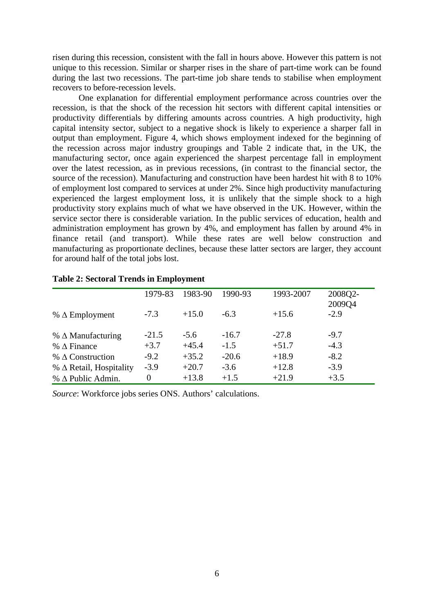risen during this recession, consistent with the fall in hours above. However this pattern is not unique to this recession. Similar or sharper rises in the share of part-time work can be found during the last two recessions. The part-time job share tends to stabilise when employment recovers to before-recession levels.

One explanation for differential employment performance across countries over the recession, is that the shock of the recession hit sectors with different capital intensities or productivity differentials by differing amounts across countries. A high productivity, high capital intensity sector, subject to a negative shock is likely to experience a sharper fall in output than employment. Figure 4, which shows employment indexed for the beginning of the recession across major industry groupings and Table 2 indicate that, in the UK, the manufacturing sector, once again experienced the sharpest percentage fall in employment over the latest recession, as in previous recessions, (in contrast to the financial sector, the source of the recession). Manufacturing and construction have been hardest hit with 8 to 10% of employment lost compared to services at under 2%. Since high productivity manufacturing experienced the largest employment loss, it is unlikely that the simple shock to a high productivity story explains much of what we have observed in the UK. However, within the service sector there is considerable variation. In the public services of education, health and administration employment has grown by 4%, and employment has fallen by around 4% in finance retail (and transport). While these rates are well below construction and manufacturing as proportionate declines, because these latter sectors are larger, they account for around half of the total jobs lost.

|                                | 1979-83 | 1983-90 | 1990-93 | 1993-2007 | 2008Q2-<br>2009Q4 |
|--------------------------------|---------|---------|---------|-----------|-------------------|
| % $\Delta$ Employment          | $-7.3$  | $+15.0$ | $-6.3$  | $+15.6$   | $-2.9$            |
| % $\Delta$ Manufacturing       | $-21.5$ | $-5.6$  | $-16.7$ | $-27.8$   | $-9.7$            |
| $% \Delta$ Finance             | $+3.7$  | $+45.4$ | $-1.5$  | $+51.7$   | $-4.3$            |
| % $\Delta$ Construction        | $-9.2$  | $+35.2$ | $-20.6$ | $+18.9$   | $-8.2$            |
| % $\Delta$ Retail, Hospitality | $-3.9$  | $+20.7$ | $-3.6$  | $+12.8$   | $-3.9$            |
| $% \Delta$ Public Admin.       | 0       | $+13.8$ | $+1.5$  | $+21.9$   | $+3.5$            |

*Source*: Workforce jobs series ONS. Authors' calculations.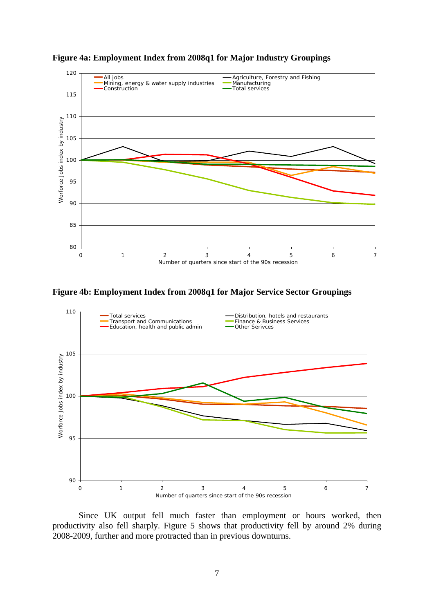

**Figure 4a: Employment Index from 2008q1 for Major Industry Groupings** 

**Figure 4b: Employment Index from 2008q1 for Major Service Sector Groupings** 



Since UK output fell much faster than employment or hours worked, then productivity also fell sharply. Figure 5 shows that productivity fell by around 2% during 2008-2009, further and more protracted than in previous downturns.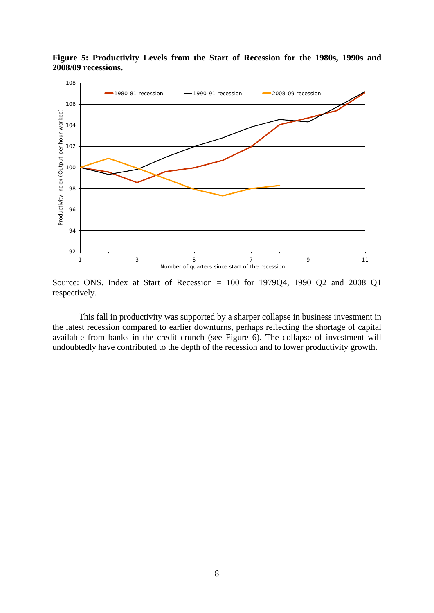

**Figure 5: Productivity Levels from the Start of Recession for the 1980s, 1990s and 2008/09 recessions.**

Source: ONS. Index at Start of Recession  $= 100$  for 1979Q4, 1990 Q2 and 2008 Q1 respectively.

This fall in productivity was supported by a sharper collapse in business investment in the latest recession compared to earlier downturns, perhaps reflecting the shortage of capital available from banks in the credit crunch (see Figure 6). The collapse of investment will undoubtedly have contributed to the depth of the recession and to lower productivity growth.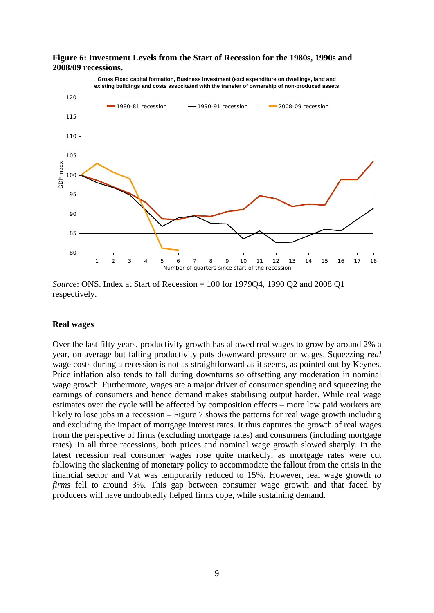#### **Figure 6: Investment Levels from the Start of Recession for the 1980s, 1990s and 2008/09 recessions.**



*Source*: ONS. Index at Start of Recession = 100 for 1979Q4, 1990 Q2 and 2008 Q1 respectively.

#### **Real wages**

Over the last fifty years, productivity growth has allowed real wages to grow by around 2% a year, on average but falling productivity puts downward pressure on wages. Squeezing *real* wage costs during a recession is not as straightforward as it seems, as pointed out by Keynes. Price inflation also tends to fall during downturns so offsetting any moderation in nominal wage growth. Furthermore, wages are a major driver of consumer spending and squeezing the earnings of consumers and hence demand makes stabilising output harder. While real wage estimates over the cycle will be affected by composition effects – more low paid workers are likely to lose jobs in a recession – Figure 7 shows the patterns for real wage growth including and excluding the impact of mortgage interest rates. It thus captures the growth of real wages from the perspective of firms (excluding mortgage rates) and consumers (including mortgage rates). In all three recessions, both prices and nominal wage growth slowed sharply. In the latest recession real consumer wages rose quite markedly, as mortgage rates were cut following the slackening of monetary policy to accommodate the fallout from the crisis in the financial sector and Vat was temporarily reduced to 15%. However, real wage growth *to firms* fell to around 3%. This gap between consumer wage growth and that faced by producers will have undoubtedly helped firms cope, while sustaining demand.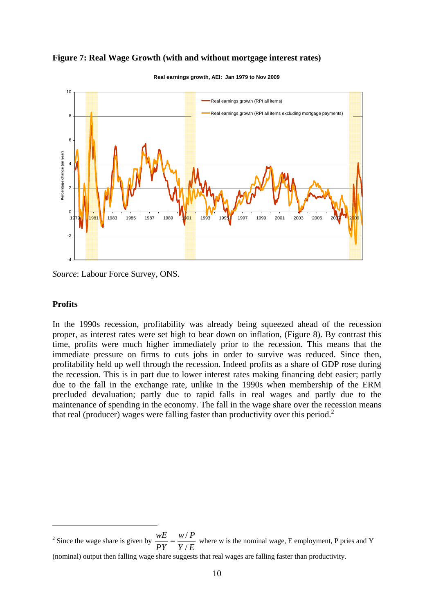



**Real earnings growth, AEI: Jan 1979 to Nov 2009**

*Source*: Labour Force Survey, ONS.

#### **Profits**

In the 1990s recession, profitability was already being squeezed ahead of the recession proper, as interest rates were set high to bear down on inflation, (Figure 8). By contrast this time, profits were much higher immediately prior to the recession. This means that the immediate pressure on firms to cuts jobs in order to survive was reduced. Since then, profitability held up well through the recession. Indeed profits as a share of GDP rose during the recession. This is in part due to lower interest rates making financing debt easier; partly due to the fall in the exchange rate, unlike in the 1990s when membership of the ERM precluded devaluation; partly due to rapid falls in real wages and partly due to the maintenance of spending in the economy. The fall in the wage share over the recession means that real (producer) wages were falling faster than productivity over this period.<sup>2</sup>

<sup>&</sup>lt;sup>2</sup> Since the wage share is given by  $\frac{W}{PY} = \frac{W}{Y/E}$ *w P PY wE* /  $=\frac{w/P}{w}$  where w is the nominal wage, E employment, P pries and Y (nominal) output then falling wage share suggests that real wages are falling faster than productivity.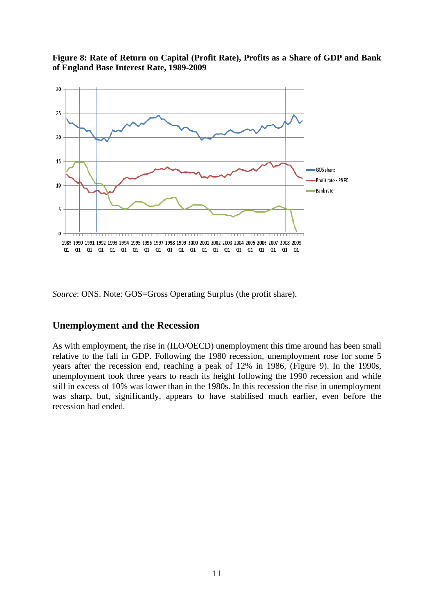



*Source*: ONS. Note: GOS=Gross Operating Surplus (the profit share).

# **Unemployment and the Recession**

As with employment, the rise in (ILO/OECD) unemployment this time around has been small relative to the fall in GDP. Following the 1980 recession, unemployment rose for some 5 years after the recession end, reaching a peak of 12% in 1986, (Figure 9). In the 1990s, unemployment took three years to reach its height following the 1990 recession and while still in excess of 10% was lower than in the 1980s. In this recession the rise in unemployment was sharp, but, significantly, appears to have stabilised much earlier, even before the recession had ended.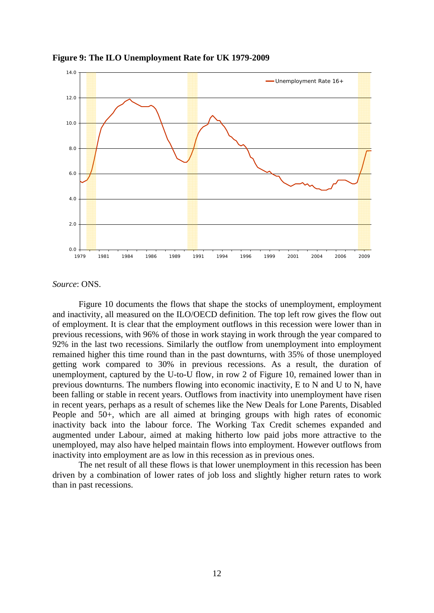

**Figure 9: The ILO Unemployment Rate for UK 1979-2009** 



Figure 10 documents the flows that shape the stocks of unemployment, employment and inactivity, all measured on the ILO/OECD definition. The top left row gives the flow out of employment. It is clear that the employment outflows in this recession were lower than in previous recessions, with 96% of those in work staying in work through the year compared to 92% in the last two recessions. Similarly the outflow from unemployment into employment remained higher this time round than in the past downturns, with 35% of those unemployed getting work compared to 30% in previous recessions. As a result, the duration of unemployment, captured by the U-to-U flow, in row 2 of Figure 10, remained lower than in previous downturns. The numbers flowing into economic inactivity, E to N and U to N, have been falling or stable in recent years. Outflows from inactivity into unemployment have risen in recent years, perhaps as a result of schemes like the New Deals for Lone Parents, Disabled People and 50+, which are all aimed at bringing groups with high rates of economic inactivity back into the labour force. The Working Tax Credit schemes expanded and augmented under Labour, aimed at making hitherto low paid jobs more attractive to the unemployed, may also have helped maintain flows into employment. However outflows from inactivity into employment are as low in this recession as in previous ones.

The net result of all these flows is that lower unemployment in this recession has been driven by a combination of lower rates of job loss and slightly higher return rates to work than in past recessions.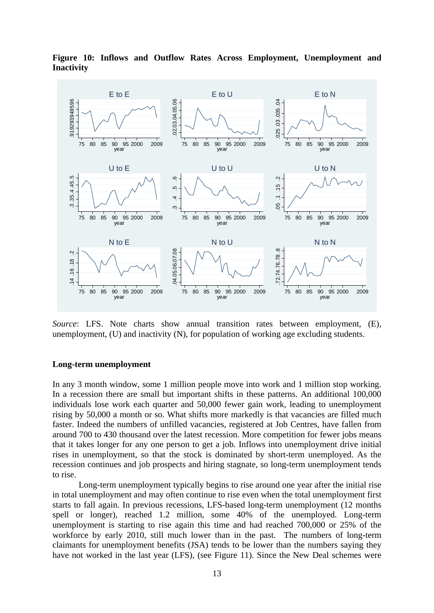

**Figure 10: Inflows and Outflow Rates Across Employment, Unemployment and Inactivity** 

*Source*: LFS. Note charts show annual transition rates between employment, (E), unemployment, (U) and inactivity (N), for population of working age excluding students.

#### **Long-term unemployment**

In any 3 month window, some 1 million people move into work and 1 million stop working. In a recession there are small but important shifts in these patterns. An additional 100,000 individuals lose work each quarter and 50,000 fewer gain work, leading to unemployment rising by 50,000 a month or so. What shifts more markedly is that vacancies are filled much faster. Indeed the numbers of unfilled vacancies, registered at Job Centres, have fallen from around 700 to 430 thousand over the latest recession. More competition for fewer jobs means that it takes longer for any one person to get a job. Inflows into unemployment drive initial rises in unemployment, so that the stock is dominated by short-term unemployed. As the recession continues and job prospects and hiring stagnate, so long-term unemployment tends to rise.

Long-term unemployment typically begins to rise around one year after the initial rise in total unemployment and may often continue to rise even when the total unemployment first starts to fall again. In previous recessions, LFS-based long-term unemployment (12 months spell or longer), reached 1.2 million, some 40% of the unemployed. Long-term unemployment is starting to rise again this time and had reached 700,000 or 25% of the workforce by early 2010, still much lower than in the past. The numbers of long-term claimants for unemployment benefits (JSA) tends to be lower than the numbers saying they have not worked in the last year (LFS), (see Figure 11). Since the New Deal schemes were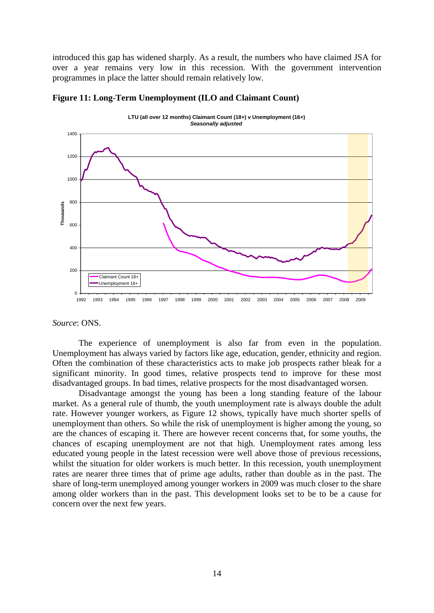introduced this gap has widened sharply. As a result, the numbers who have claimed JSA for over a year remains very low in this recession. With the government intervention programmes in place the latter should remain relatively low.





*Source*: ONS.

The experience of unemployment is also far from even in the population. Unemployment has always varied by factors like age, education, gender, ethnicity and region. Often the combination of these characteristics acts to make job prospects rather bleak for a significant minority. In good times, relative prospects tend to improve for these most disadvantaged groups. In bad times, relative prospects for the most disadvantaged worsen.

Disadvantage amongst the young has been a long standing feature of the labour market. As a general rule of thumb, the youth unemployment rate is always double the adult rate. However younger workers, as Figure 12 shows, typically have much shorter spells of unemployment than others. So while the risk of unemployment is higher among the young, so are the chances of escaping it. There are however recent concerns that, for some youths, the chances of escaping unemployment are not that high. Unemployment rates among less educated young people in the latest recession were well above those of previous recessions, whilst the situation for older workers is much better. In this recession, youth unemployment rates are nearer three times that of prime age adults, rather than double as in the past. The share of long-term unemployed among younger workers in 2009 was much closer to the share among older workers than in the past. This development looks set to be to be a cause for concern over the next few years.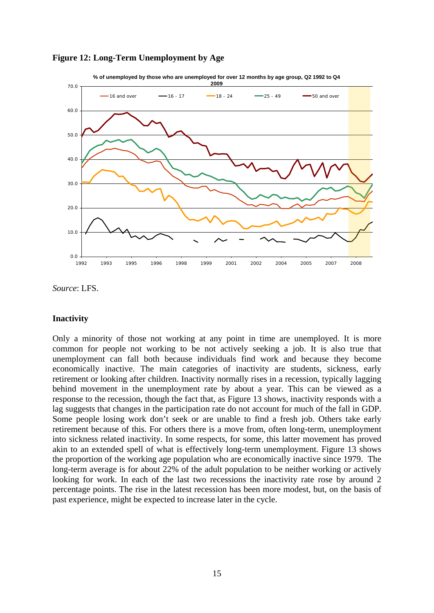

#### **Figure 12: Long-Term Unemployment by Age**

*Source*: LFS.

## **Inactivity**

Only a minority of those not working at any point in time are unemployed. It is more common for people not working to be not actively seeking a job. It is also true that unemployment can fall both because individuals find work and because they become economically inactive. The main categories of inactivity are students, sickness, early retirement or looking after children. Inactivity normally rises in a recession, typically lagging behind movement in the unemployment rate by about a year. This can be viewed as a response to the recession, though the fact that, as Figure 13 shows, inactivity responds with a lag suggests that changes in the participation rate do not account for much of the fall in GDP. Some people losing work don't seek or are unable to find a fresh job. Others take early retirement because of this. For others there is a move from, often long-term, unemployment into sickness related inactivity. In some respects, for some, this latter movement has proved akin to an extended spell of what is effectively long-term unemployment. Figure 13 shows the proportion of the working age population who are economically inactive since 1979. The long-term average is for about 22% of the adult population to be neither working or actively looking for work. In each of the last two recessions the inactivity rate rose by around 2 percentage points. The rise in the latest recession has been more modest, but, on the basis of past experience, might be expected to increase later in the cycle.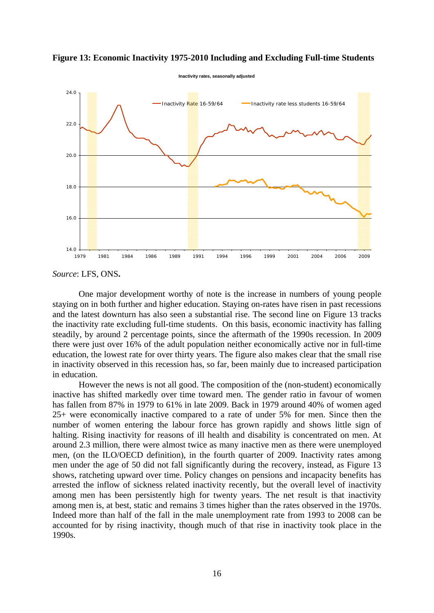

14.0 16.0 18.0 20.0 22.0 24.0 1979 1981 1984 1986 1989 1991 1994 1996 1999 2001 2004 2006 2009 Inactivity Rate 16-59/64 Inactivity rate less students 16-59/64

**Inactivity rates, seasonally adjusted**

One major development worthy of note is the increase in numbers of young people staying on in both further and higher education. Staying on-rates have risen in past recessions and the latest downturn has also seen a substantial rise. The second line on Figure 13 tracks the inactivity rate excluding full-time students. On this basis, economic inactivity has falling steadily, by around 2 percentage points, since the aftermath of the 1990s recession. In 2009 there were just over 16% of the adult population neither economically active nor in full-time education, the lowest rate for over thirty years. The figure also makes clear that the small rise in inactivity observed in this recession has, so far, been mainly due to increased participation in education.

However the news is not all good. The composition of the (non-student) economically inactive has shifted markedly over time toward men. The gender ratio in favour of women has fallen from 87% in 1979 to 61% in late 2009. Back in 1979 around 40% of women aged 25+ were economically inactive compared to a rate of under 5% for men. Since then the number of women entering the labour force has grown rapidly and shows little sign of halting. Rising inactivity for reasons of ill health and disability is concentrated on men. At around 2.3 million, there were almost twice as many inactive men as there were unemployed men, (on the ILO/OECD definition), in the fourth quarter of 2009. Inactivity rates among men under the age of 50 did not fall significantly during the recovery, instead, as Figure 13 shows, ratcheting upward over time. Policy changes on pensions and incapacity benefits has arrested the inflow of sickness related inactivity recently, but the overall level of inactivity among men has been persistently high for twenty years. The net result is that inactivity among men is, at best, static and remains 3 times higher than the rates observed in the 1970s. Indeed more than half of the fall in the male unemployment rate from 1993 to 2008 can be accounted for by rising inactivity, though much of that rise in inactivity took place in the 1990s.

*Source*: LFS, ONS**.**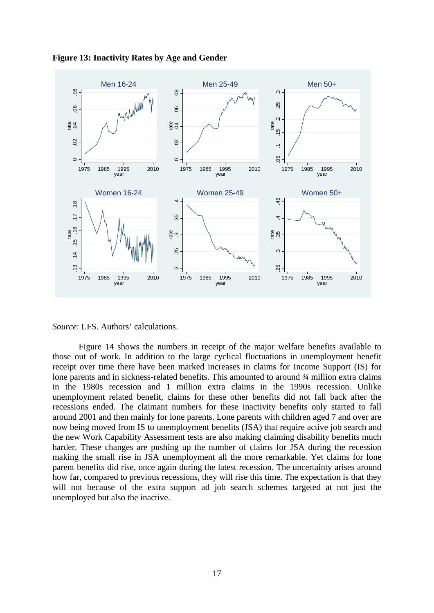

**Figure 13: Inactivity Rates by Age and Gender** 

*Source*: LFS. Authors' calculations.

Figure 14 shows the numbers in receipt of the major welfare benefits available to those out of work. In addition to the large cyclical fluctuations in unemployment benefit receipt over time there have been marked increases in claims for Income Support (IS) for lone parents and in sickness-related benefits. This amounted to around  $\frac{3}{4}$  million extra claims in the 1980s recession and 1 million extra claims in the 1990s recession. Unlike unemployment related benefit, claims for these other benefits did not fall back after the recessions ended. The claimant numbers for these inactivity benefits only started to fall around 2001 and then mainly for lone parents. Lone parents with children aged 7 and over are now being moved from IS to unemployment benefits (JSA) that require active job search and the new Work Capability Assessment tests are also making claiming disability benefits much harder. These changes are pushing up the number of claims for JSA during the recession making the small rise in JSA unemployment all the more remarkable. Yet claims for lone parent benefits did rise, once again during the latest recession. The uncertainty arises around how far, compared to previous recessions, they will rise this time. The expectation is that they will not because of the extra support ad job search schemes targeted at not just the unemployed but also the inactive.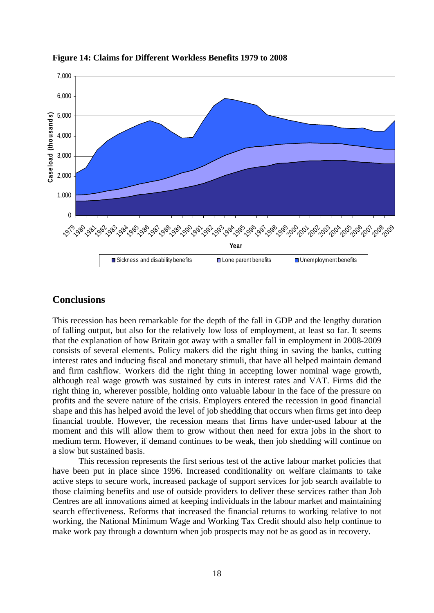

**Figure 14: Claims for Different Workless Benefits 1979 to 2008** 

# **Conclusions**

This recession has been remarkable for the depth of the fall in GDP and the lengthy duration of falling output, but also for the relatively low loss of employment, at least so far. It seems that the explanation of how Britain got away with a smaller fall in employment in 2008-2009 consists of several elements. Policy makers did the right thing in saving the banks, cutting interest rates and inducing fiscal and monetary stimuli, that have all helped maintain demand and firm cashflow. Workers did the right thing in accepting lower nominal wage growth, although real wage growth was sustained by cuts in interest rates and VAT. Firms did the right thing in, wherever possible, holding onto valuable labour in the face of the pressure on profits and the severe nature of the crisis. Employers entered the recession in good financial shape and this has helped avoid the level of job shedding that occurs when firms get into deep financial trouble. However, the recession means that firms have under-used labour at the moment and this will allow them to grow without then need for extra jobs in the short to medium term. However, if demand continues to be weak, then job shedding will continue on a slow but sustained basis.

This recession represents the first serious test of the active labour market policies that have been put in place since 1996. Increased conditionality on welfare claimants to take active steps to secure work, increased package of support services for job search available to those claiming benefits and use of outside providers to deliver these services rather than Job Centres are all innovations aimed at keeping individuals in the labour market and maintaining search effectiveness. Reforms that increased the financial returns to working relative to not working, the National Minimum Wage and Working Tax Credit should also help continue to make work pay through a downturn when job prospects may not be as good as in recovery.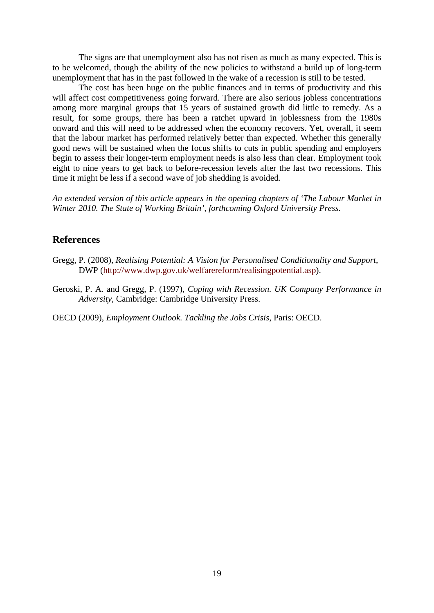The signs are that unemployment also has not risen as much as many expected. This is to be welcomed, though the ability of the new policies to withstand a build up of long-term unemployment that has in the past followed in the wake of a recession is still to be tested.

The cost has been huge on the public finances and in terms of productivity and this will affect cost competitiveness going forward. There are also serious jobless concentrations among more marginal groups that 15 years of sustained growth did little to remedy. As a result, for some groups, there has been a ratchet upward in joblessness from the 1980s onward and this will need to be addressed when the economy recovers. Yet, overall, it seem that the labour market has performed relatively better than expected. Whether this generally good news will be sustained when the focus shifts to cuts in public spending and employers begin to assess their longer-term employment needs is also less than clear. Employment took eight to nine years to get back to before-recession levels after the last two recessions. This time it might be less if a second wave of job shedding is avoided.

*An extended version of this article appears in the opening chapters of 'The Labour Market in Winter 2010. The State of Working Britain', forthcoming Oxford University Press.* 

#### **References**

- Gregg, P. (2008), *Realising Potential: A Vision for Personalised Conditionality and Support*, DWP (http://www.dwp.gov.uk/welfarereform/realisingpotential.asp).
- Geroski, P. A. and Gregg, P. (1997), *Coping with Recession. UK Company Performance in Adversity*, Cambridge: Cambridge University Press.

OECD (2009), *Employment Outlook. Tackling the Jobs Crisis*, Paris: OECD.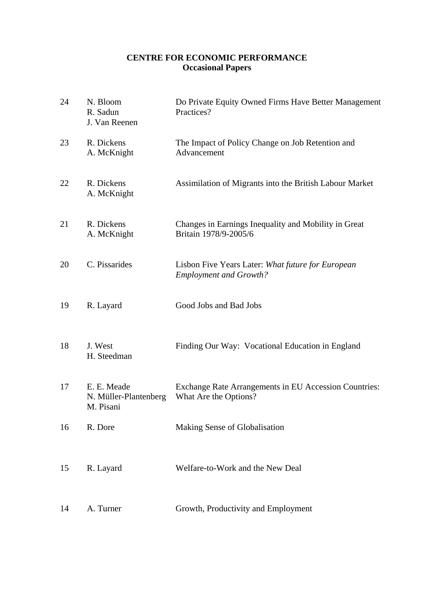# **CENTRE FOR ECONOMIC PERFORMANCE Occasional Papers**

| 24 | N. Bloom<br>R. Sadun<br>J. Van Reenen             | Do Private Equity Owned Firms Have Better Management<br>Practices?                 |
|----|---------------------------------------------------|------------------------------------------------------------------------------------|
| 23 | R. Dickens<br>A. McKnight                         | The Impact of Policy Change on Job Retention and<br>Advancement                    |
| 22 | R. Dickens<br>A. McKnight                         | Assimilation of Migrants into the British Labour Market                            |
| 21 | R. Dickens<br>A. McKnight                         | Changes in Earnings Inequality and Mobility in Great<br>Britain 1978/9-2005/6      |
| 20 | C. Pissarides                                     | Lisbon Five Years Later: What future for European<br><b>Employment and Growth?</b> |
| 19 | R. Layard                                         | Good Jobs and Bad Jobs                                                             |
| 18 | J. West<br>H. Steedman                            | Finding Our Way: Vocational Education in England                                   |
| 17 | E. E. Meade<br>N. Müller-Plantenberg<br>M. Pisani | Exchange Rate Arrangements in EU Accession Countries:<br>What Are the Options?     |
| 16 | R. Dore                                           | Making Sense of Globalisation                                                      |
| 15 | R. Layard                                         | Welfare-to-Work and the New Deal                                                   |
| 14 | A. Turner                                         | Growth, Productivity and Employment                                                |